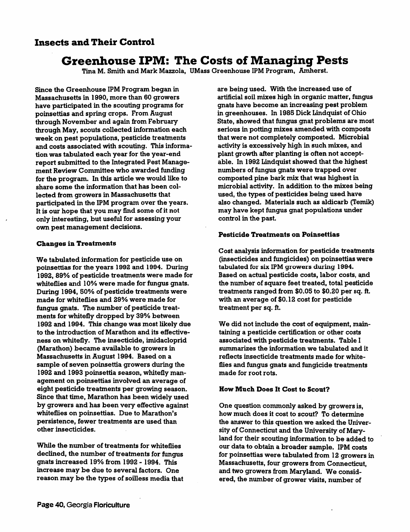## *Insects and Their Control*

# *Greenhouse IPM: The Costs of Managing Pests*

Tina M. Smith and Mark Mazzola, UMass Greenhouse IPM Program, Amherst.

Since the Greenhouse IPM Program began in Massachusetts in 1990, more than 60 growers have participated in the scouting programs for poinsettias and spring crops. From August through November and again from February through May, scouts collected information each week on pest populations, pesticide treatments and costs associated with scouting. This informa tion was tabulated each year for the year-end report submitted to the Integrated Pest Manage ment Review Gommittee who awarded funding for the program. In this article we would like to share some the information that has been col lected from growers in Massachusetts that participated in the IPM program over the years. It is our hope that you may find some of it not only interesting, but useful for assessing your own pest management decisions.

#### *Changes in Treatments*

We tabulated information for pesticide use on poinsettias for the years 1992 and 1994. During 1992, 89% of pesticide treatments were made for whiteflies and 10% were made for fungus gnats. During 1994, 50% of pesticide treatments were made for whiteflies and 29% were made for fungus gnats. The number of pesticide treat ments for whitefly dropped by 39% between 1992 and 1994. This change was most likely due to the introduction of Marathon and its effectiveness on whitefly. The insecticide, imidacloprid (Marathon) became available to growers in Massachusetts in August 1994. Based on a sample of seven poinsettia growers during the 1992 and 1993 poinsettia season, whitefly man agement on poinsettias involved an average of eight pesticide treatments per growing season. Since that time, Marathon has been widely used by growers and has been very effective against whiteflies on poinsettias. Due to Marathon's persistence, fewer treatments are used than other insecticides.

While the number of treatments for whiteflies declined, the number of treatments for fungus gnats increased 19% from 1992 - 1994. This increase may be due to several factors. One reason may be the types of soilless media that are being used. With the increased use of artificial soil mixes high in organic matter, fungus gnats have become an increasing pest problem in greenhouses. In 1985 Dick Lindquist of Ohio State, showed that fungus gnat problems are most serious in potting mixes amended with composts that were not completely composted. Microbial activity is excessively high in such mixes, and plant growth after planting is often not accept able. In 1992 Lindquist showed that the highest numbers of fungus gnats were trapped over composted pine bark mix that was highest in microbial activity. In addition to the mixes being used, the types of pesticides being used have also changed. Materials such as aldicarb (Temik) may have kept fungus gnat populations under control in the past.

#### *Pesticide Treatments on Poinsettias*

Cost analysis information for pesticide treatments (insecticides and fungicides) on poinsettias were tabulated for six IPM growers during 1994. Based on actual pesticide costs, labor costs, and the number of square feet treated, total pesticide treatments ranged from \$0.05 to \$0.20 per sq. ft. with an average of \$0.12 cost for pesticide treatment per sq. ft.

We did not include the cost of equipment, main taining a pesticide certification or other costs associated with pesticide treatments. Table I summarizes the information we tabulated and it reflects insecticide treatments made for white flies and fungus gnats and fungicide treatments made for root rots.

### *How Much Does It Cost to Scout?*

One question commonly asked by growers is, how much does it cost to scout? To determine the answer to this question we asked the Univer sity of Connecticut and the University of Mary land for their scouting information to be added to our data to obtain a broader sample. IPM costs for poinsettias were tabulated from 12 growers in Massachusetts, four growers from Connecticut, and two growers from Maryland. We consid ered, the number of grower visits, number of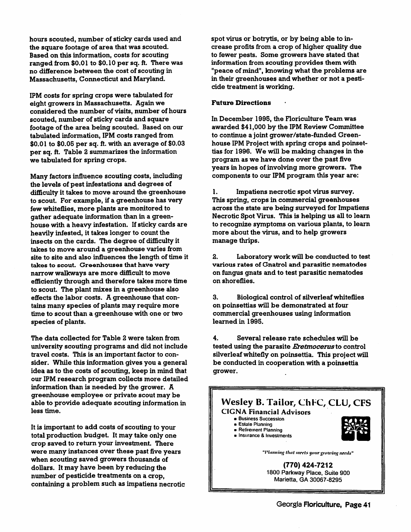hours scouted, number of sticky cards used and the square footage of area that was scouted. Based on this information, costs for scouting ranged from \$0.01 to \$0.10 per sq. ft. There was no difference between the cost of scouting in Massachusetts, Connecticut and Maryland.

IPM costs for spring crops were tabulated for eight growers in Massachusetts. Again we considered the number of visits, number of hours scouted, number of sticky cards and square footage of the area being scouted. Based on our tabulated information, IPM costs ranged from \$0.01 to \$0.05 per sq. ft. with an average of \$0.03 per sq. ft. Table 2 summarizes the information we tabulated for spring crops.

Many factors influence scouting costs, including the levels of pest infestations and degrees of difficulty it takes to move around the greenhouse to scout. For example, if a greenhouse has very few whiteflies, more plants are monitored to gather adequate information than in a green house with a heavy infestation. If sticky cards are heavily infested, it takes longer to count the insects on the cards. The degree of difficulty it takes to move around a greenhouse varies from site to site and also influences the length of time it takes to scout. Greenhouses that have very narrow walkways are more difficult to move efficiently through and therefore takes more time to scout. The plant mixes in a greenhouse also effects the labor costs. A greenhouse that con tains many species of plants may require more time to scout than a greenhouse with one or two species of plants.

The data collected for Table <sup>2</sup> were taken from university scouting programs and did not include travel costs. This is an important factor to con sider. While this information gives you a general idea as to the costs of scouting, keep in mind that our IPM research program collects more detailed information than is needed by the grower. A greenhouse employee or private scout may be able to provide adequate scouting information in less time.

It is important to add costs of scouting to your total production budget. It may take only one crop saved to return your investment. There were many instances over these past five years when scouting saved growers thousands of dollars. It may have been by reducing the number of pesticide treatments on a crop, containing a problem such as impatiens necrotic spot virus or botrytis, or by being able to in crease profits from a crop of higher quality due to fewer pests. Some growers have stated that information from scouting provides them with "peace of mind", knowing what the problems are in their greenhouses and whether or not a pesti cide treatment is working.

#### *Future Directions*

In December 1995, the Floriculture Team was awarded \$41,000 by the IPM Review Committee to continue a joint grower/state-funded Green house IPM Project with spring crops and poinset tias for 1996. We will be making changes in the program as we have done over the past five years in hopes of involving more growers. The components to our IPM program this year are:

1. Impatiens necrotic spot virus survey. This spring, crops in commercial greenhouses across the state are being surveyed for Impatiens Necrotic Spot Virus. This is helping us all to learn to recognize symptoms on various plants, to learn more about the virus, and to help growers manage thrips.

2. Laboratory work will be conducted to test various rates of Gnatrol and parasitic nematodes on fungus gnats and to test parasitic nematodes on shoreflies.

3. Biological control of silverleaf whiteflies on poinsettias will be demonstrated at four commercial greenhouses using information learned in 1995.

4. Several release rate schedules will be tested using the parasite **Eretmocerus** to control silverleaf whitefly on poinsettia. This project will be conducted in cooperation with a poinsettia grower.